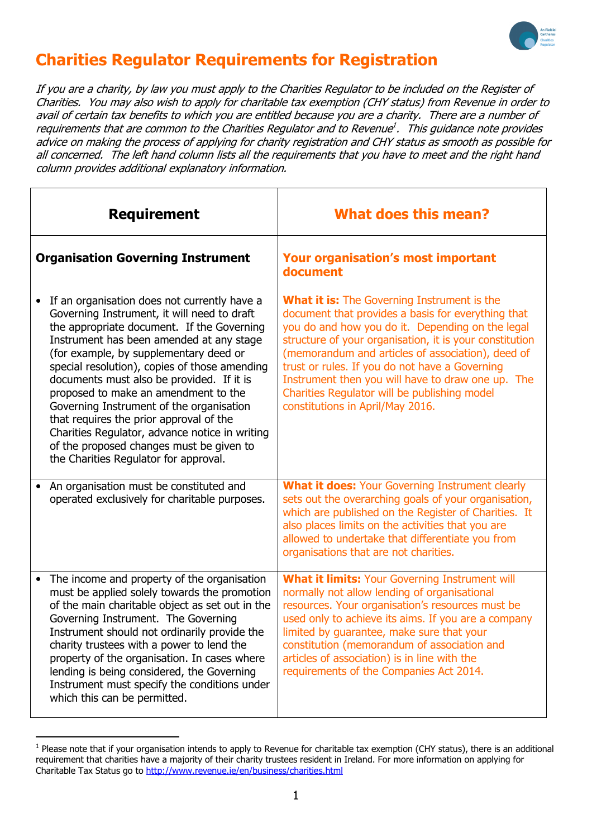

# Charities Regulator Requirements for Registration

If you are a charity, by law you must apply to the Charities Regulator to be included on the Register of Charities. You may also wish to apply for charitable tax exemption (CHY status) from Revenue in order to avail of certain tax benefits to which you are entitled because you are a charity. There are a number of requirements that are common to the Charities Regulator and to Revenue<sup>1</sup>. This guidance note provides advice on making the process of applying for charity registration and CHY status as smooth as possible for all concerned. The left hand column lists all the requirements that you have to meet and the right hand column provides additional explanatory information.

| <b>Requirement</b>                                                                                                                                                                                                                                                                                                                                                                                                                                                                                                                                                                                  | <b>What does this mean?</b>                                                                                                                                                                                                                                                                                                                                                                                                                                             |
|-----------------------------------------------------------------------------------------------------------------------------------------------------------------------------------------------------------------------------------------------------------------------------------------------------------------------------------------------------------------------------------------------------------------------------------------------------------------------------------------------------------------------------------------------------------------------------------------------------|-------------------------------------------------------------------------------------------------------------------------------------------------------------------------------------------------------------------------------------------------------------------------------------------------------------------------------------------------------------------------------------------------------------------------------------------------------------------------|
| <b>Organisation Governing Instrument</b>                                                                                                                                                                                                                                                                                                                                                                                                                                                                                                                                                            | <b>Your organisation's most important</b><br>document                                                                                                                                                                                                                                                                                                                                                                                                                   |
| If an organisation does not currently have a<br>Governing Instrument, it will need to draft<br>the appropriate document. If the Governing<br>Instrument has been amended at any stage<br>(for example, by supplementary deed or<br>special resolution), copies of those amending<br>documents must also be provided. If it is<br>proposed to make an amendment to the<br>Governing Instrument of the organisation<br>that requires the prior approval of the<br>Charities Regulator, advance notice in writing<br>of the proposed changes must be given to<br>the Charities Regulator for approval. | <b>What it is:</b> The Governing Instrument is the<br>document that provides a basis for everything that<br>you do and how you do it. Depending on the legal<br>structure of your organisation, it is your constitution<br>(memorandum and articles of association), deed of<br>trust or rules. If you do not have a Governing<br>Instrument then you will have to draw one up. The<br>Charities Regulator will be publishing model<br>constitutions in April/May 2016. |
| An organisation must be constituted and<br>operated exclusively for charitable purposes.                                                                                                                                                                                                                                                                                                                                                                                                                                                                                                            | <b>What it does: Your Governing Instrument clearly</b><br>sets out the overarching goals of your organisation,<br>which are published on the Register of Charities. It<br>also places limits on the activities that you are<br>allowed to undertake that differentiate you from<br>organisations that are not charities.                                                                                                                                                |
| The income and property of the organisation<br>must be applied solely towards the promotion<br>of the main charitable object as set out in the<br>Governing Instrument. The Governing<br>Instrument should not ordinarily provide the<br>charity trustees with a power to lend the<br>property of the organisation. In cases where<br>lending is being considered, the Governing<br>Instrument must specify the conditions under<br>which this can be permitted.                                                                                                                                    | <b>What it limits: Your Governing Instrument will</b><br>normally not allow lending of organisational<br>resources. Your organisation's resources must be<br>used only to achieve its aims. If you are a company<br>limited by guarantee, make sure that your<br>constitution (memorandum of association and<br>articles of association) is in line with the<br>requirements of the Companies Act 2014.                                                                 |

 $^1$  Please note that if your organisation intends to apply to Revenue for charitable tax exemption (CHY status), there is an additional requirement that charities have a majority of their charity trustees resident in Ireland. For more information on applying for Charitable Tax Status go to http://www.revenue.ie/en/business/charities.html

 $\overline{a}$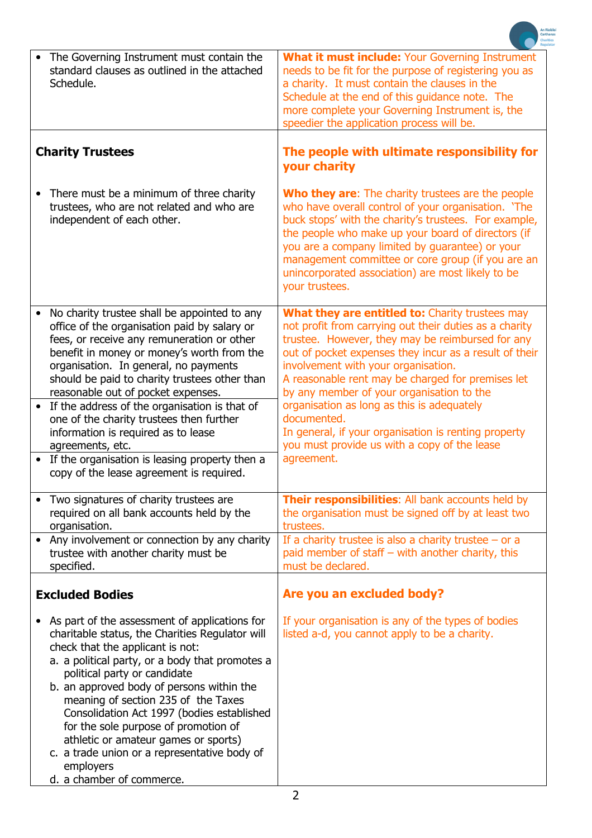|                                                                                                                                                                                                                                                                                                                                                                                                                                                                                                                                                  | Carthanas<br><b>Charities</b>                                                                                                                                                                                                                                                                                                                                                                                 |
|--------------------------------------------------------------------------------------------------------------------------------------------------------------------------------------------------------------------------------------------------------------------------------------------------------------------------------------------------------------------------------------------------------------------------------------------------------------------------------------------------------------------------------------------------|---------------------------------------------------------------------------------------------------------------------------------------------------------------------------------------------------------------------------------------------------------------------------------------------------------------------------------------------------------------------------------------------------------------|
| The Governing Instrument must contain the<br>$\bullet$<br>standard clauses as outlined in the attached<br>Schedule.                                                                                                                                                                                                                                                                                                                                                                                                                              | What it must include: Your Governing Instrument<br>needs to be fit for the purpose of registering you as<br>a charity. It must contain the clauses in the<br>Schedule at the end of this guidance note. The<br>more complete your Governing Instrument is, the<br>speedier the application process will be.                                                                                                   |
| <b>Charity Trustees</b>                                                                                                                                                                                                                                                                                                                                                                                                                                                                                                                          | The people with ultimate responsibility for<br>your charity                                                                                                                                                                                                                                                                                                                                                   |
| There must be a minimum of three charity<br>$\bullet$<br>trustees, who are not related and who are<br>independent of each other.                                                                                                                                                                                                                                                                                                                                                                                                                 | <b>Who they are:</b> The charity trustees are the people<br>who have overall control of your organisation. 'The<br>buck stops' with the charity's trustees. For example,<br>the people who make up your board of directors (if<br>you are a company limited by guarantee) or your<br>management committee or core group (if you are an<br>unincorporated association) are most likely to be<br>your trustees. |
| No charity trustee shall be appointed to any<br>office of the organisation paid by salary or<br>fees, or receive any remuneration or other<br>benefit in money or money's worth from the<br>organisation. In general, no payments<br>should be paid to charity trustees other than<br>reasonable out of pocket expenses.                                                                                                                                                                                                                         | What they are entitled to: Charity trustees may<br>not profit from carrying out their duties as a charity<br>trustee. However, they may be reimbursed for any<br>out of pocket expenses they incur as a result of their<br>involvement with your organisation.<br>A reasonable rent may be charged for premises let<br>by any member of your organisation to the                                              |
| If the address of the organisation is that of<br>$\bullet$<br>one of the charity trustees then further<br>information is required as to lease<br>agreements, etc.<br>• If the organisation is leasing property then a<br>copy of the lease agreement is required.                                                                                                                                                                                                                                                                                | organisation as long as this is adequately<br>documented.<br>In general, if your organisation is renting property<br>you must provide us with a copy of the lease<br>agreement.                                                                                                                                                                                                                               |
| Two signatures of charity trustees are<br>required on all bank accounts held by the<br>organisation.                                                                                                                                                                                                                                                                                                                                                                                                                                             | Their responsibilities: All bank accounts held by<br>the organisation must be signed off by at least two<br>trustees.                                                                                                                                                                                                                                                                                         |
| Any involvement or connection by any charity<br>trustee with another charity must be<br>specified.                                                                                                                                                                                                                                                                                                                                                                                                                                               | If a charity trustee is also a charity trustee $-$ or a<br>paid member of staff $-$ with another charity, this<br>must be declared.                                                                                                                                                                                                                                                                           |
| <b>Excluded Bodies</b>                                                                                                                                                                                                                                                                                                                                                                                                                                                                                                                           | Are you an excluded body?                                                                                                                                                                                                                                                                                                                                                                                     |
| As part of the assessment of applications for<br>$\bullet$<br>charitable status, the Charities Regulator will<br>check that the applicant is not:<br>a. a political party, or a body that promotes a<br>political party or candidate<br>b. an approved body of persons within the<br>meaning of section 235 of the Taxes<br>Consolidation Act 1997 (bodies established<br>for the sole purpose of promotion of<br>athletic or amateur games or sports)<br>c. a trade union or a representative body of<br>employers<br>d. a chamber of commerce. | If your organisation is any of the types of bodies<br>listed a-d, you cannot apply to be a charity.                                                                                                                                                                                                                                                                                                           |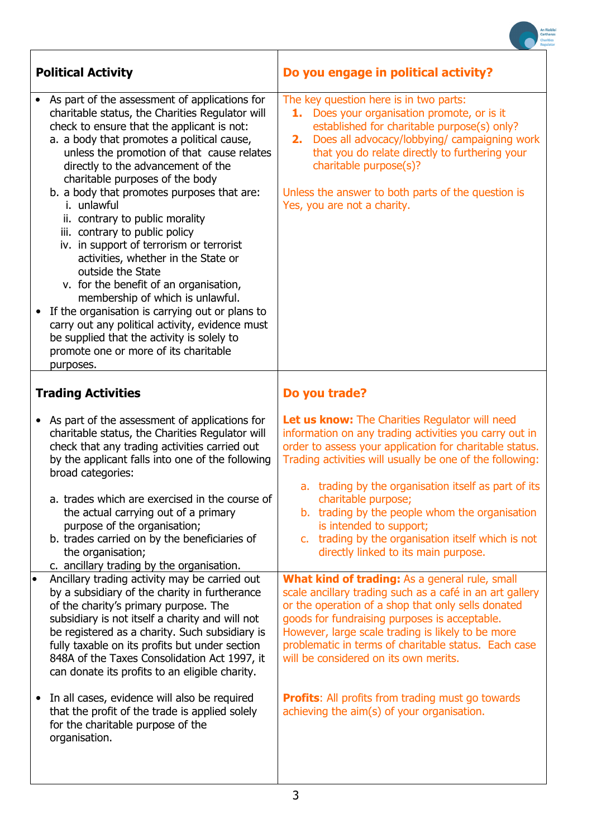|                                                                                                                                                                                                                                                                                                                                                                                                                                                                                                                                                                                                                                                                                                                                                                                                                                                                    | Carthanas                                                                                                                                                                                                                                                                                                                                                               |
|--------------------------------------------------------------------------------------------------------------------------------------------------------------------------------------------------------------------------------------------------------------------------------------------------------------------------------------------------------------------------------------------------------------------------------------------------------------------------------------------------------------------------------------------------------------------------------------------------------------------------------------------------------------------------------------------------------------------------------------------------------------------------------------------------------------------------------------------------------------------|-------------------------------------------------------------------------------------------------------------------------------------------------------------------------------------------------------------------------------------------------------------------------------------------------------------------------------------------------------------------------|
| <b>Political Activity</b>                                                                                                                                                                                                                                                                                                                                                                                                                                                                                                                                                                                                                                                                                                                                                                                                                                          | Do you engage in political activity?                                                                                                                                                                                                                                                                                                                                    |
| As part of the assessment of applications for<br>charitable status, the Charities Regulator will<br>check to ensure that the applicant is not:<br>a. a body that promotes a political cause,<br>unless the promotion of that cause relates<br>directly to the advancement of the<br>charitable purposes of the body<br>b. a body that promotes purposes that are:<br>i. unlawful<br>ii. contrary to public morality<br>iii. contrary to public policy<br>iv. in support of terrorism or terrorist<br>activities, whether in the State or<br>outside the State<br>v. for the benefit of an organisation,<br>membership of which is unlawful.<br>If the organisation is carrying out or plans to<br>$\bullet$<br>carry out any political activity, evidence must<br>be supplied that the activity is solely to<br>promote one or more of its charitable<br>purposes. | The key question here is in two parts:<br>1. Does your organisation promote, or is it<br>established for charitable purpose(s) only?<br>Does all advocacy/lobbying/ campaigning work<br>2.<br>that you do relate directly to furthering your<br>charitable purpose(s)?<br>Unless the answer to both parts of the question is<br>Yes, you are not a charity.             |
| <b>Trading Activities</b>                                                                                                                                                                                                                                                                                                                                                                                                                                                                                                                                                                                                                                                                                                                                                                                                                                          | Do you trade?                                                                                                                                                                                                                                                                                                                                                           |
| As part of the assessment of applications for<br>$\bullet$<br>charitable status, the Charities Regulator will<br>check that any trading activities carried out<br>by the applicant falls into one of the following<br>broad categories:<br>a. trades which are exercised in the course of                                                                                                                                                                                                                                                                                                                                                                                                                                                                                                                                                                          | <b>Let us know:</b> The Charities Regulator will need<br>information on any trading activities you carry out in<br>order to assess your application for charitable status.<br>Trading activities will usually be one of the following:<br>a. trading by the organisation itself as part of its<br>charitable purpose;                                                   |
| the actual carrying out of a primary<br>purpose of the organisation;<br>b. trades carried on by the beneficiaries of<br>the organisation;<br>c. ancillary trading by the organisation.                                                                                                                                                                                                                                                                                                                                                                                                                                                                                                                                                                                                                                                                             | b. trading by the people whom the organisation<br>is intended to support;<br>c. trading by the organisation itself which is not<br>directly linked to its main purpose.                                                                                                                                                                                                 |
| Ancillary trading activity may be carried out<br>$\bullet$<br>by a subsidiary of the charity in furtherance<br>of the charity's primary purpose. The<br>subsidiary is not itself a charity and will not<br>be registered as a charity. Such subsidiary is<br>fully taxable on its profits but under section<br>848A of the Taxes Consolidation Act 1997, it<br>can donate its profits to an eligible charity.                                                                                                                                                                                                                                                                                                                                                                                                                                                      | What kind of trading: As a general rule, small<br>scale ancillary trading such as a café in an art gallery<br>or the operation of a shop that only sells donated<br>goods for fundraising purposes is acceptable.<br>However, large scale trading is likely to be more<br>problematic in terms of charitable status. Each case<br>will be considered on its own merits. |
| In all cases, evidence will also be required<br>$\bullet$<br>that the profit of the trade is applied solely<br>for the charitable purpose of the<br>organisation.                                                                                                                                                                                                                                                                                                                                                                                                                                                                                                                                                                                                                                                                                                  | <b>Profits:</b> All profits from trading must go towards<br>achieving the aim(s) of your organisation.                                                                                                                                                                                                                                                                  |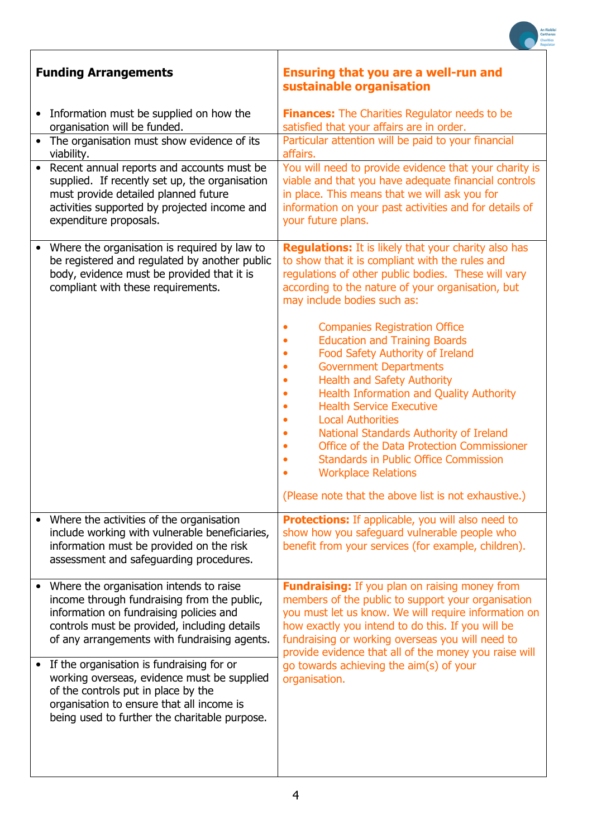|                                                                                                                                                                                                                                   | Carthanas                                                                                                                                                                                                                                                                                                                                                                                                                                                                                                                                                                                                                                                                                                                                                                                             |
|-----------------------------------------------------------------------------------------------------------------------------------------------------------------------------------------------------------------------------------|-------------------------------------------------------------------------------------------------------------------------------------------------------------------------------------------------------------------------------------------------------------------------------------------------------------------------------------------------------------------------------------------------------------------------------------------------------------------------------------------------------------------------------------------------------------------------------------------------------------------------------------------------------------------------------------------------------------------------------------------------------------------------------------------------------|
| <b>Funding Arrangements</b>                                                                                                                                                                                                       | <b>Ensuring that you are a well-run and</b><br>sustainable organisation                                                                                                                                                                                                                                                                                                                                                                                                                                                                                                                                                                                                                                                                                                                               |
| Information must be supplied on how the                                                                                                                                                                                           | <b>Finances:</b> The Charities Regulator needs to be                                                                                                                                                                                                                                                                                                                                                                                                                                                                                                                                                                                                                                                                                                                                                  |
| organisation will be funded.<br>The organisation must show evidence of its                                                                                                                                                        | satisfied that your affairs are in order.<br>Particular attention will be paid to your financial<br>affairs.                                                                                                                                                                                                                                                                                                                                                                                                                                                                                                                                                                                                                                                                                          |
| viability.<br>Recent annual reports and accounts must be<br>supplied. If recently set up, the organisation<br>must provide detailed planned future<br>activities supported by projected income and<br>expenditure proposals.      | You will need to provide evidence that your charity is<br>viable and that you have adequate financial controls<br>in place. This means that we will ask you for<br>information on your past activities and for details of<br>your future plans.                                                                                                                                                                                                                                                                                                                                                                                                                                                                                                                                                       |
| Where the organisation is required by law to<br>be registered and regulated by another public<br>body, evidence must be provided that it is<br>compliant with these requirements.                                                 | <b>Regulations:</b> It is likely that your charity also has<br>to show that it is compliant with the rules and<br>regulations of other public bodies. These will vary<br>according to the nature of your organisation, but<br>may include bodies such as:<br><b>Companies Registration Office</b><br><b>Education and Training Boards</b><br>Food Safety Authority of Ireland<br><b>Government Departments</b><br><b>Health and Safety Authority</b><br><b>Health Information and Quality Authority</b><br><b>Health Service Executive</b><br><b>Local Authorities</b><br>National Standards Authority of Ireland<br>Office of the Data Protection Commissioner<br><b>Standards in Public Office Commission</b><br><b>Workplace Relations</b><br>(Please note that the above list is not exhaustive.) |
| Where the activities of the organisation<br>include working with vulnerable beneficiaries,<br>information must be provided on the risk<br>assessment and safeguarding procedures.                                                 | <b>Protections:</b> If applicable, you will also need to<br>show how you safeguard vulnerable people who<br>benefit from your services (for example, children).                                                                                                                                                                                                                                                                                                                                                                                                                                                                                                                                                                                                                                       |
| Where the organisation intends to raise<br>income through fundraising from the public,<br>information on fundraising policies and<br>controls must be provided, including details<br>of any arrangements with fundraising agents. | <b>Fundraising:</b> If you plan on raising money from<br>members of the public to support your organisation<br>you must let us know. We will require information on<br>how exactly you intend to do this. If you will be<br>fundraising or working overseas you will need to<br>provide evidence that all of the money you raise will                                                                                                                                                                                                                                                                                                                                                                                                                                                                 |
| If the organisation is fundraising for or<br>working overseas, evidence must be supplied<br>of the controls put in place by the<br>organisation to ensure that all income is<br>being used to further the charitable purpose.     | go towards achieving the aim(s) of your<br>organisation.                                                                                                                                                                                                                                                                                                                                                                                                                                                                                                                                                                                                                                                                                                                                              |
|                                                                                                                                                                                                                                   |                                                                                                                                                                                                                                                                                                                                                                                                                                                                                                                                                                                                                                                                                                                                                                                                       |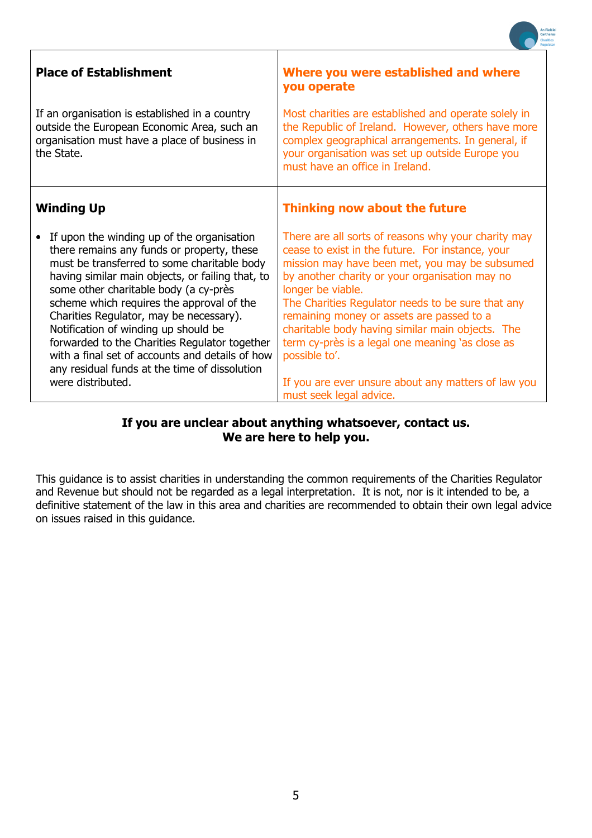| <b>Place of Establishment</b>                                                                                                                                                                                                                                                                                                                                                                                                                                                                                                                  | Where you were established and where<br>you operate                                                                                                                                                                                                                                                                                                                                                                                                                                                                                           |
|------------------------------------------------------------------------------------------------------------------------------------------------------------------------------------------------------------------------------------------------------------------------------------------------------------------------------------------------------------------------------------------------------------------------------------------------------------------------------------------------------------------------------------------------|-----------------------------------------------------------------------------------------------------------------------------------------------------------------------------------------------------------------------------------------------------------------------------------------------------------------------------------------------------------------------------------------------------------------------------------------------------------------------------------------------------------------------------------------------|
| If an organisation is established in a country<br>outside the European Economic Area, such an<br>organisation must have a place of business in<br>the State.                                                                                                                                                                                                                                                                                                                                                                                   | Most charities are established and operate solely in<br>the Republic of Ireland. However, others have more<br>complex geographical arrangements. In general, if<br>your organisation was set up outside Europe you<br>must have an office in Ireland.                                                                                                                                                                                                                                                                                         |
| <b>Winding Up</b>                                                                                                                                                                                                                                                                                                                                                                                                                                                                                                                              | Thinking now about the future                                                                                                                                                                                                                                                                                                                                                                                                                                                                                                                 |
| If upon the winding up of the organisation<br>there remains any funds or property, these<br>must be transferred to some charitable body<br>having similar main objects, or failing that, to<br>some other charitable body (a cy-près<br>scheme which requires the approval of the<br>Charities Regulator, may be necessary).<br>Notification of winding up should be<br>forwarded to the Charities Regulator together<br>with a final set of accounts and details of how<br>any residual funds at the time of dissolution<br>were distributed. | There are all sorts of reasons why your charity may<br>cease to exist in the future. For instance, your<br>mission may have been met, you may be subsumed<br>by another charity or your organisation may no<br>longer be viable.<br>The Charities Regulator needs to be sure that any<br>remaining money or assets are passed to a<br>charitable body having similar main objects. The<br>term cy-près is a legal one meaning 'as close as<br>possible to'.<br>If you are ever unsure about any matters of law you<br>must seek legal advice. |

## If you are unclear about anything whatsoever, contact us. We are here to help you.

This guidance is to assist charities in understanding the common requirements of the Charities Regulator and Revenue but should not be regarded as a legal interpretation. It is not, nor is it intended to be, a definitive statement of the law in this area and charities are recommended to obtain their own legal advice on issues raised in this guidance.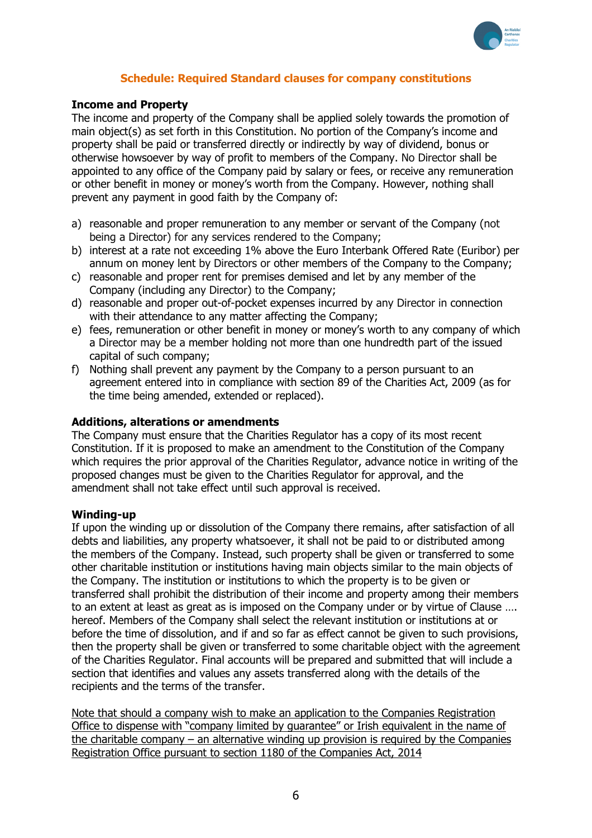

## Schedule: Required Standard clauses for company constitutions

#### Income and Property

The income and property of the Company shall be applied solely towards the promotion of main object(s) as set forth in this Constitution. No portion of the Company's income and property shall be paid or transferred directly or indirectly by way of dividend, bonus or otherwise howsoever by way of profit to members of the Company. No Director shall be appointed to any office of the Company paid by salary or fees, or receive any remuneration or other benefit in money or money's worth from the Company. However, nothing shall prevent any payment in good faith by the Company of:

- a) reasonable and proper remuneration to any member or servant of the Company (not being a Director) for any services rendered to the Company;
- b) interest at a rate not exceeding 1% above the Euro Interbank Offered Rate (Euribor) per annum on money lent by Directors or other members of the Company to the Company;
- c) reasonable and proper rent for premises demised and let by any member of the Company (including any Director) to the Company;
- d) reasonable and proper out-of-pocket expenses incurred by any Director in connection with their attendance to any matter affecting the Company;
- e) fees, remuneration or other benefit in money or money's worth to any company of which a Director may be a member holding not more than one hundredth part of the issued capital of such company;
- f) Nothing shall prevent any payment by the Company to a person pursuant to an agreement entered into in compliance with section 89 of the Charities Act, 2009 (as for the time being amended, extended or replaced).

#### Additions, alterations or amendments

The Company must ensure that the Charities Regulator has a copy of its most recent Constitution. If it is proposed to make an amendment to the Constitution of the Company which requires the prior approval of the Charities Regulator, advance notice in writing of the proposed changes must be given to the Charities Regulator for approval, and the amendment shall not take effect until such approval is received.

#### Winding-up

If upon the winding up or dissolution of the Company there remains, after satisfaction of all debts and liabilities, any property whatsoever, it shall not be paid to or distributed among the members of the Company. Instead, such property shall be given or transferred to some other charitable institution or institutions having main objects similar to the main objects of the Company. The institution or institutions to which the property is to be given or transferred shall prohibit the distribution of their income and property among their members to an extent at least as great as is imposed on the Company under or by virtue of Clause …. hereof. Members of the Company shall select the relevant institution or institutions at or before the time of dissolution, and if and so far as effect cannot be given to such provisions, then the property shall be given or transferred to some charitable object with the agreement of the Charities Regulator. Final accounts will be prepared and submitted that will include a section that identifies and values any assets transferred along with the details of the recipients and the terms of the transfer.

Note that should a company wish to make an application to the Companies Registration Office to dispense with "company limited by guarantee" or Irish equivalent in the name of the charitable company – an alternative winding up provision is required by the Companies Registration Office pursuant to section 1180 of the Companies Act, 2014